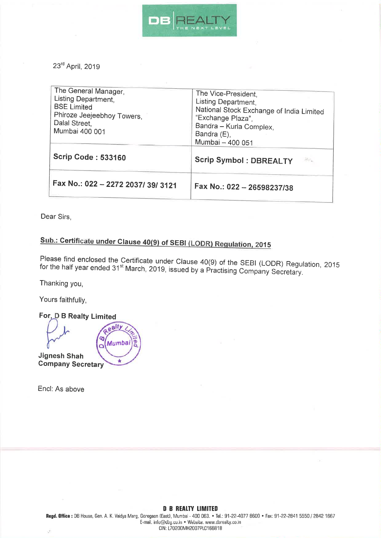

23rd April, 2019

| The General Manager,<br>Listing Department,<br><b>BSE Limited</b><br>Phiroze Jeejeebhoy Towers,<br>Dalal Street,<br>Mumbai 400 001 | The Vice-President,<br>Listing Department,<br>National Stock Exchange of India Limited<br>"Exchange Plaza",<br>Bandra - Kurla Complex,<br>Bandra (E),<br>Mumbai - 400 051 |
|------------------------------------------------------------------------------------------------------------------------------------|---------------------------------------------------------------------------------------------------------------------------------------------------------------------------|
| <b>Scrip Code: 533160</b>                                                                                                          | <b>Scrip Symbol: DBREALTY</b>                                                                                                                                             |
| Fax No.: 022 - 2272 2037/ 39/ 3121                                                                                                 | Fax No.: 022 - 26598237/38                                                                                                                                                |

Dear Sirs,

## Sub.: Certificate under Clause 40(9) of SEBI (LODR) Regulation, 2015

Please find enclosed the Certificate under Clause 40(9) of the SEBI (LODR) Regulation, 2015<br>for the half year ended 31<sup>st</sup> March, 2019, issued by a Practising Company Secretary.

Thanking you,

Yours faithfully,

For, D B Realty Limited ealty ø Mumbai  $\overline{\mathbf{o}}$ **Jignesh Shah Company Secretary** 

Encl: As above

## **D B REALTY LIMITED**

Regd. Office: DB House, Gen. A. K. Vaidya Marg, Goregaon (East), Mumbai - 400 063. • Tel.: 91-22-4077 8600 • Fax: 91-22-2841 5550 / 2842 1667 E-mail, info@dbg.co.in . Website, www.dbrealty.co.in CIN: L70200MH2007PLC166818 é